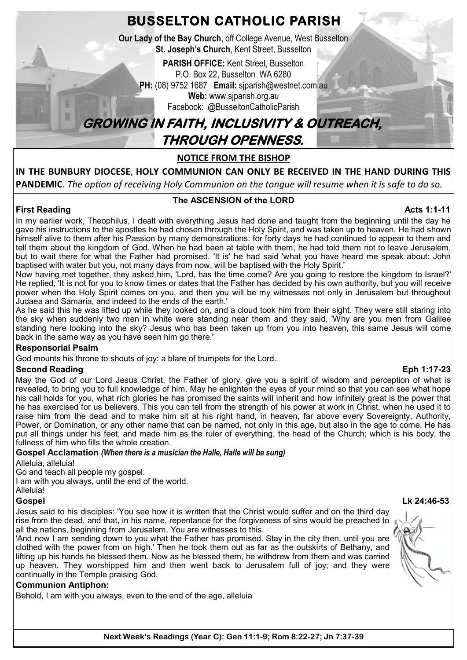**BUSSELTON CATHOLIC PARISH**

**Our Lady of the Bay Church**, off College Avenue, West Busselton **St. Joseph's Church, Kent Street, Busselton** 

**PARISH OFFICE:** Kent Street, Busselton P.O. Box 22, Busselton WA 6280 **PH:** (08) 9752 1687 **Email:** sjparish@westnet.com.au **Web:** www.sjparish.org.au

Facebook: @BusseltonCatholicParish

# **GROWING IN FAITH, INCLUSIVITY & OUTREACH, THROUGH OPENNESS.**

## **NOTICE FROM THE BISHOP**

**IN THE BUNBURY DIOCESE**, **HOLY COMMUNION CAN ONLY BE RECEIVED IN THE HAND DURING THIS PANDEMIC**. *The option of receiving Holy Communion on the tongue will resume when it is safe to do so.* 

#### **The ASCENSION of the LORD**

#### **First Reading Acts 1:1-11**

In my earlier work, Theophilus, I dealt with everything Jesus had done and taught from the beginning until the day he gave his instructions to the apostles he had chosen through the Holy Spirit, and was taken up to heaven. He had shown himself alive to them after his Passion by many demonstrations: for forty days he had continued to appear to them and tell them about the kingdom of God. When he had been at table with them, he had told them not to leave Jerusalem, but to wait there for what the Father had promised. 'It is' he had said 'what you have heard me speak about: John baptised with water but you, not many days from now, will be baptised with the Holy Spirit.'

Now having met together, they asked him, 'Lord, has the time come? Are you going to restore the kingdom to Israel?' He replied, 'It is not for you to know times or dates that the Father has decided by his own authority, but you will receive power when the Holy Spirit comes on you, and then you will be my witnesses not only in Jerusalem but throughout Judaea and Samaria, and indeed to the ends of the earth.'

As he said this he was lifted up while they looked on, and a cloud took him from their sight. They were still staring into the sky when suddenly two men in white were standing near them and they said, 'Why are you men from Galilee standing here looking into the sky? Jesus who has been taken up from you into heaven, this same Jesus will come back in the same way as you have seen him go there.'

#### **Responsorial Psalm**

God mounts his throne to shouts of joy: a blare of trumpets for the Lord.

#### **Second Reading Eph 1:17-23**

May the God of our Lord Jesus Christ, the Father of glory, give you a spirit of wisdom and perception of what is revealed, to bring you to full knowledge of him. May he enlighten the eyes of your mind so that you can see what hope his call holds for you, what rich glories he has promised the saints will inherit and how infinitely great is the power that he has exercised for us believers. This you can tell from the strength of his power at work in Christ, when he used it to raise him from the dead and to make him sit at his right hand, in heaven, far above every Sovereignty, Authority, Power, or Domination, or any other name that can be named, not only in this age, but also in the age to come. He has put all things under his feet, and made him as the ruler of everything, the head of the Church; which is his body, the fullness of him who fills the whole creation.

#### **Gospel Acclamation** *(When there is a musician the Halle, Halle will be sung)*

#### Alleluia, alleluia!

Go and teach all people my gospel.

I am with you always, until the end of the world.

Alleluia!

#### **Gospel Lk 24:46-53**

Jesus said to his disciples: 'You see how it is written that the Christ would suffer and on the third day rise from the dead, and that, in his name, repentance for the forgiveness of sins would be preached to all the nations, beginning from Jerusalem. You are witnesses to this.

'And now I am sending down to you what the Father has promised. Stay in the city then, until you are clothed with the power from on high.' Then he took them out as far as the outskirts of Bethany, and lifting up his hands he blessed them. Now as he blessed them, he withdrew from them and was carried up heaven. They worshipped him and then went back to Jerusalem full of joy; and they were continually in the Temple praising God.

#### **Communion Antiphon:**

Behold, I am with you always, even to the end of the age, alleluia



#### **Next Week's Readings (Year C): Gen 11:1-9; Rom 8:22-27; Jn 7:37-39**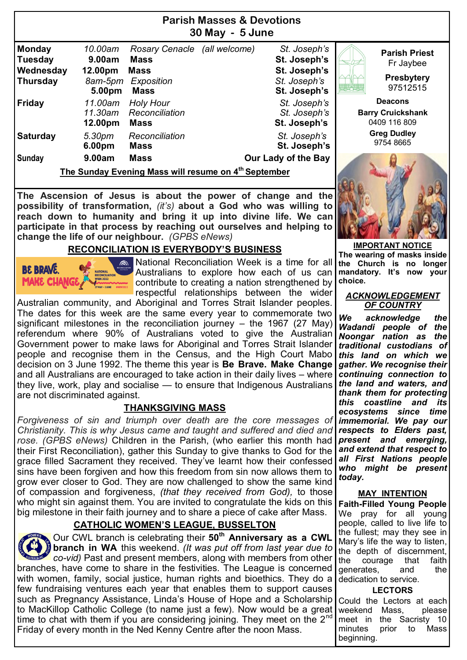| <b>Parish Masses &amp; Devotions</b><br>30 May - 5 June         |                                                   |                                                                                         |  |                                                                              |                                                                    |  |  |
|-----------------------------------------------------------------|---------------------------------------------------|-----------------------------------------------------------------------------------------|--|------------------------------------------------------------------------------|--------------------------------------------------------------------|--|--|
| <b>Monday</b><br><b>Tuesday</b><br>Wednesday<br><b>Thursday</b> | 10.00am<br>9.00am<br>12.00pm<br>8am-5pm<br>5.00pm | Rosary Cenacle (all welcome)<br><b>Mass</b><br><b>Mass</b><br>Exposition<br><b>Mass</b> |  | St. Joseph's<br>St. Joseph's<br>St. Joseph's<br>St. Joseph's<br>St. Joseph's | <b>Parish Priest</b><br>Fr Jaybee<br><b>Presbytery</b><br>97512515 |  |  |
| <b>Friday</b>                                                   | 11.00am<br>11.30am<br>12.00pm                     | <b>Holy Hour</b><br>Reconciliation<br><b>Mass</b>                                       |  | St. Joseph's<br>St. Joseph's<br>St. Joseph's                                 | <b>Deacons</b><br><b>Barry Cruickshank</b><br>0409 116 809         |  |  |
| <b>Saturday</b>                                                 | 5.30pm<br>6.00pm                                  | Reconciliation<br><b>Mass</b>                                                           |  | St. Joseph's<br>St. Joseph's                                                 | <b>Greg Dudley</b><br>9754 8665                                    |  |  |
| <b>Sunday</b>                                                   | 9.00am                                            | <b>Mass</b><br>The Sunday Evening Mass will resume on 4 <sup>th</sup> September         |  | Our Lady of the Bay                                                          |                                                                    |  |  |

**The Ascension of Jesus is about the power of change and the possibility of transformation,** *(it's)* **about a God who was willing to reach down to humanity and bring it up into divine life. We can participate in that process by reaching out ourselves and helping to change the life of our neighbour.** *(GPBS eNews)*

# **RECONCILIATION IS EVERYBODY'S BUSINESS**

**BE BRAVE** 

**National Reconciliation Week is a time for all** Australians to explore how each of us can contribute to creating a nation strengthened by respectful relationships between the wider

Australian community, and Aboriginal and Torres Strait Islander peoples. The dates for this week are the same every year to commemorate two significant milestones in the reconciliation journey – the 1967 (27 May) referendum where 90% of Australians voted to give the Australian Government power to make laws for Aboriginal and Torres Strait Islander people and recognise them in the Census, and the High Court Mabo decision on 3 June 1992. The theme this year is **Be Brave. Make Change**  and all Australians are encouraged to take action in their daily lives – where they live, work, play and socialise — to ensure that Indigenous Australians are not discriminated against.

#### **THANKSGIVING MASS**

*Forgiveness of sin and triumph over death are the core messages of Christianity. This is why Jesus came and taught and suffered and died and rose. (GPBS eNews)* Children in the Parish, (who earlier this month had their First Reconciliation), gather this Sunday to give thanks to God for the grace filled Sacrament they received. They've learnt how their confessed sins have been forgiven and how this freedom from sin now allows them to grow ever closer to God. They are now challenged to show the same kind of compassion and forgiveness, *(that they received from God),* to those who might sin against them. You are invited to congratulate the kids on this big milestone in their faith journey and to share a piece of cake after Mass.

### **CATHOLIC WOMEN'S LEAGUE, BUSSELTON**

Our CWL branch is celebrating their **50th Anniversary as a CWL branch in WA** this weekend. *(It was put off from last year due to co-vid*) Past and present members, along with members from other branches, have come to share in the festivities. The League is concerned with women, family, social justice, human rights and bioethics. They do a few fundraising ventures each year that enables them to support causes such as Pregnancy Assistance, Linda's House of Hope and a Scholarship to MacKillop Catholic College (to name just a few). Now would be a great time to chat with them if you are considering joining. They meet on the  $2<sup>nd</sup>$ Friday of every month in the Ned Kenny Centre after the noon Mass.



**IMPORTANT NOTICE The wearing of masks inside the Church is no longer mandatory. It's now your choice.**

#### *ACKNOWLEDGEMENT OF COUNTRY*

*We acknowledge the Wadandi people of the Noongar nation as the traditional custodians of this land on which we gather. We recognise their continuing connection to the land and waters, and thank them for protecting this coastline and its ecosystems since time immemorial. We pay our respects to Elders past, present and emerging, and extend that respect to all First Nations people who might be present today.* 

#### **MAY INTENTION**

**Faith-Filled Young People** We pray for all young people, called to live life to the fullest; may they see in Mary's life the way to listen, the depth of discernment, the courage that faith generates, and the dedication to service.

#### **LECTORS**

Could the Lectors at each weekend Mass, please meet in the Sacristy 10 minutes prior to Mass beginning.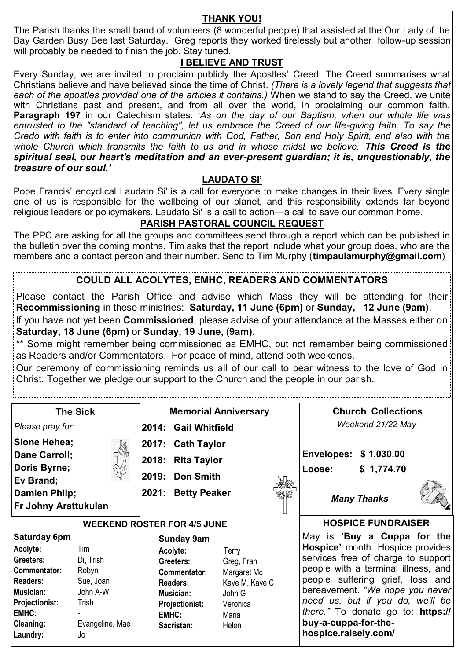### **THANK YOU!**

The Parish thanks the small band of volunteers (8 wonderful people) that assisted at the Our Lady of the Bay Garden Busy Bee last Saturday. Greg reports they worked tirelessly but another follow-up session will probably be needed to finish the job. Stay tuned.

#### **I BELIEVE AND TRUST**

Every Sunday, we are invited to proclaim publicly the Apostles' Creed. The Creed summarises what Christians believe and have believed since the time of Christ*. (There is a lovely legend that suggests that each of the apostles provided one of the articles it contains.)* When we stand to say the Creed, we unite with Christians past and present, and from all over the world, in proclaiming our common faith. **Paragraph 197** in our Catechism states: '*As on the day of our Baptism, when our whole life was*  entrusted to the "standard of teaching", let us embrace the Creed of our life-giving faith. To say the *Credo with faith is to enter into communion with God, Father, Son and Holy Spirit, and also with the whole Church which transmits the faith to us and in whose midst we believe. This Creed is the spiritual seal, our heart's meditation and an ever-present guardian; it is, unquestionably, the treasure of our soul.'*

#### **LAUDATO SI'**

Pope Francis' encyclical Laudato Si' is a call for everyone to make changes in their lives. Every single one of us is responsible for the wellbeing of our planet, and this responsibility extends far beyond religious leaders or policymakers. Laudato Si' is a call to action—a call to save our common home.

## **PARISH PASTORAL COUNCIL REQUEST**

The PPC are asking for all the groups and committees send through a report which can be published in the bulletin over the coming months. Tim asks that the report include what your group does, who are the members and a contact person and their number. Send to Tim Murphy (**[timpaulamurphy@gmail.com](mailto:timpaulamurphy@gmail.com)**)

### **COULD ALL ACOLYTES, EMHC, READERS AND COMMENTATORS**

Please contact the Parish Office and advise which Mass they will be attending for their **Recommissioning** in these ministries: **Saturday, 11 June (6pm)** or **Sunday, 12 June (9am)**. If you have not yet been **Commissioned**, please advise of your attendance at the Masses either on

## **Saturday, 18 June (6pm)** or **Sunday, 19 June, (9am).**

\*\* Some might remember being commissioned as EMHC, but not remember being commissioned as Readers and/or Commentators. For peace of mind, attend both weekends.

Our ceremony of commissioning reminds us all of our call to bear witness to the love of God in Christ. Together we pledge our support to the Church and the people in our parish.

| <b>The Sick</b>                                                                                                                                                |                                                                                      | <b>Memorial Anniversary</b>                                                                                                                              |                                                                                                     | <b>Church Collections</b>                                                                                                                                                                                                                                                                                                                    |  |
|----------------------------------------------------------------------------------------------------------------------------------------------------------------|--------------------------------------------------------------------------------------|----------------------------------------------------------------------------------------------------------------------------------------------------------|-----------------------------------------------------------------------------------------------------|----------------------------------------------------------------------------------------------------------------------------------------------------------------------------------------------------------------------------------------------------------------------------------------------------------------------------------------------|--|
| Please pray for:<br>Sione Hehea;<br>Dane Carroll;<br>Doris Byrne;<br>Ev Brand;<br>Damien Philp;<br><b>Fr Johny Arattukulan</b>                                 |                                                                                      | 2014: Gail Whitfield<br>2017: Cath Taylor<br>2018: Rita Taylor<br>2019: Don Smith<br>2021: Betty Peaker                                                  |                                                                                                     | Weekend 21/22 May<br>Envelopes: \$1,030.00<br>\$1,774.70<br>Loose:<br><b>Many Thanks</b>                                                                                                                                                                                                                                                     |  |
|                                                                                                                                                                | <b>WEEKEND ROSTER FOR 4/5 JUNE</b>                                                   | <b>HOSPICE FUNDRAISER</b>                                                                                                                                |                                                                                                     |                                                                                                                                                                                                                                                                                                                                              |  |
| <b>Saturday 6pm</b><br>Acolyte:<br>Greeters:<br>Commentator:<br><b>Readers:</b><br>Musician:<br><b>Projectionist:</b><br><b>EMHC:</b><br>Cleaning:<br>Laundry: | Tim<br>Di, Trish<br>Robyn<br>Sue, Joan<br>John A-W<br>Trish<br>Evangeline, Mae<br>Jo | <b>Sunday 9am</b><br>Acolyte:<br>Greeters:<br><b>Commentator:</b><br><b>Readers:</b><br>Musician:<br><b>Projectionist:</b><br><b>EMHC:</b><br>Sacristan: | <b>Terry</b><br>Greg, Fran<br>Margaret Mc<br>Kaye M, Kaye C<br>John G<br>Veronica<br>Maria<br>Helen | May is 'Buy a Cuppa for the<br>Hospice' month. Hospice provides<br>services free of charge to support<br>people with a terminal illness, and<br>people suffering grief, loss and<br>bereavement. "We hope you never<br>need us, but if you do, we'll be<br>there." To donate go to: https://<br>buy-a-cuppa-for-the-<br>hospice.raisely.com/ |  |